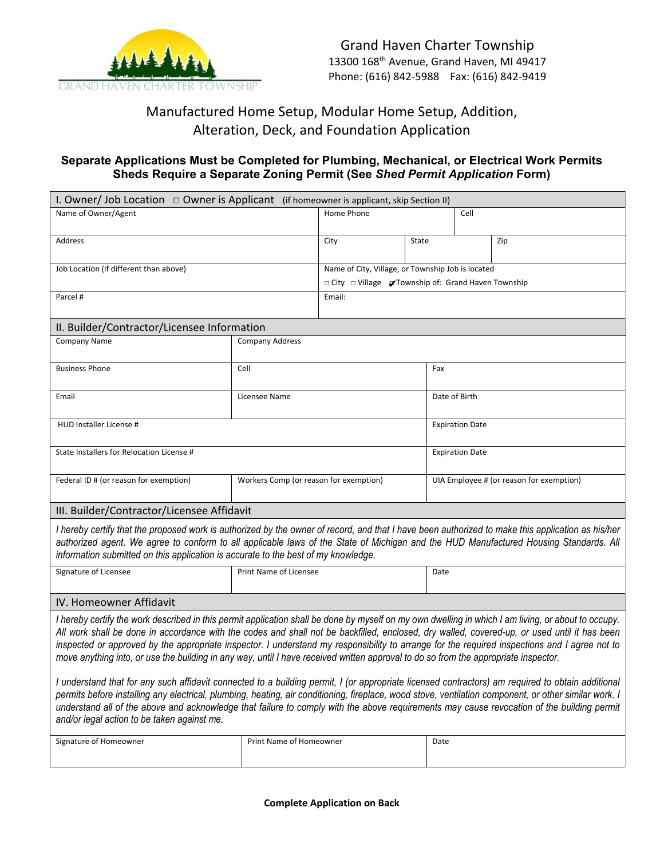

# Manufactured Home Setup, Modular Home Setup, Addition, Alteration, Deck, and Foundation Application

# **Separate Applications Must be Completed for Plumbing, Mechanical, or Electrical Work Permits Sheds Require a Separate Zoning Permit (See** *Shed Permit Application* **Form)**

| I. Owner/ Job Location $\Box$ Owner is Applicant (if homeowner is applicant, skip Section II)                                                                                                                                                                                                                                                                                                                                                                                                                                                                                                                                                                                                                                                                                                                                                                                                                                                                                                                                                                                                                                                                       |                                                     |                                                   |       |                                          |     |  |  |
|---------------------------------------------------------------------------------------------------------------------------------------------------------------------------------------------------------------------------------------------------------------------------------------------------------------------------------------------------------------------------------------------------------------------------------------------------------------------------------------------------------------------------------------------------------------------------------------------------------------------------------------------------------------------------------------------------------------------------------------------------------------------------------------------------------------------------------------------------------------------------------------------------------------------------------------------------------------------------------------------------------------------------------------------------------------------------------------------------------------------------------------------------------------------|-----------------------------------------------------|---------------------------------------------------|-------|------------------------------------------|-----|--|--|
| Name of Owner/Agent                                                                                                                                                                                                                                                                                                                                                                                                                                                                                                                                                                                                                                                                                                                                                                                                                                                                                                                                                                                                                                                                                                                                                 |                                                     | Home Phone                                        |       | Cell                                     |     |  |  |
| <b>Address</b>                                                                                                                                                                                                                                                                                                                                                                                                                                                                                                                                                                                                                                                                                                                                                                                                                                                                                                                                                                                                                                                                                                                                                      |                                                     | City                                              | State |                                          | Zip |  |  |
| Job Location (if different than above)                                                                                                                                                                                                                                                                                                                                                                                                                                                                                                                                                                                                                                                                                                                                                                                                                                                                                                                                                                                                                                                                                                                              |                                                     | Name of City, Village, or Township Job is located |       |                                          |     |  |  |
|                                                                                                                                                                                                                                                                                                                                                                                                                                                                                                                                                                                                                                                                                                                                                                                                                                                                                                                                                                                                                                                                                                                                                                     | □ City □ Village √Township of: Grand Haven Township |                                                   |       |                                          |     |  |  |
| Parcel #                                                                                                                                                                                                                                                                                                                                                                                                                                                                                                                                                                                                                                                                                                                                                                                                                                                                                                                                                                                                                                                                                                                                                            | Email:                                              |                                                   |       |                                          |     |  |  |
| II. Builder/Contractor/Licensee Information                                                                                                                                                                                                                                                                                                                                                                                                                                                                                                                                                                                                                                                                                                                                                                                                                                                                                                                                                                                                                                                                                                                         |                                                     |                                                   |       |                                          |     |  |  |
| Company Name                                                                                                                                                                                                                                                                                                                                                                                                                                                                                                                                                                                                                                                                                                                                                                                                                                                                                                                                                                                                                                                                                                                                                        | <b>Company Address</b>                              |                                                   |       |                                          |     |  |  |
| <b>Business Phone</b>                                                                                                                                                                                                                                                                                                                                                                                                                                                                                                                                                                                                                                                                                                                                                                                                                                                                                                                                                                                                                                                                                                                                               | Cell                                                |                                                   |       | Fax                                      |     |  |  |
| Email                                                                                                                                                                                                                                                                                                                                                                                                                                                                                                                                                                                                                                                                                                                                                                                                                                                                                                                                                                                                                                                                                                                                                               | Licensee Name                                       |                                                   |       | Date of Birth                            |     |  |  |
| HUD Installer License #                                                                                                                                                                                                                                                                                                                                                                                                                                                                                                                                                                                                                                                                                                                                                                                                                                                                                                                                                                                                                                                                                                                                             |                                                     |                                                   |       | <b>Expiration Date</b>                   |     |  |  |
| State Installers for Relocation License #                                                                                                                                                                                                                                                                                                                                                                                                                                                                                                                                                                                                                                                                                                                                                                                                                                                                                                                                                                                                                                                                                                                           |                                                     |                                                   |       | <b>Expiration Date</b>                   |     |  |  |
| Federal ID # (or reason for exemption)                                                                                                                                                                                                                                                                                                                                                                                                                                                                                                                                                                                                                                                                                                                                                                                                                                                                                                                                                                                                                                                                                                                              | Workers Comp (or reason for exemption)              |                                                   |       | UIA Employee # (or reason for exemption) |     |  |  |
| III. Builder/Contractor/Licensee Affidavit                                                                                                                                                                                                                                                                                                                                                                                                                                                                                                                                                                                                                                                                                                                                                                                                                                                                                                                                                                                                                                                                                                                          |                                                     |                                                   |       |                                          |     |  |  |
| I hereby certify that the proposed work is authorized by the owner of record, and that I have been authorized to make this application as his/her<br>authorized agent. We agree to conform to all applicable laws of the State of Michigan and the HUD Manufactured Housing Standards. All<br>information submitted on this application is accurate to the best of my knowledge.                                                                                                                                                                                                                                                                                                                                                                                                                                                                                                                                                                                                                                                                                                                                                                                    |                                                     |                                                   |       |                                          |     |  |  |
| Signature of Licensee                                                                                                                                                                                                                                                                                                                                                                                                                                                                                                                                                                                                                                                                                                                                                                                                                                                                                                                                                                                                                                                                                                                                               | Print Name of Licensee                              |                                                   |       | Date                                     |     |  |  |
| IV. Homeowner Affidavit                                                                                                                                                                                                                                                                                                                                                                                                                                                                                                                                                                                                                                                                                                                                                                                                                                                                                                                                                                                                                                                                                                                                             |                                                     |                                                   |       |                                          |     |  |  |
| I hereby certify the work described in this permit application shall be done by myself on my own dwelling in which I am living, or about to occupy.<br>All work shall be done in accordance with the codes and shall not be backfilled, enclosed, dry walled, covered-up, or used until it has been<br>inspected or approved by the appropriate inspector. I understand my responsibility to arrange for the required inspections and I agree not to<br>move anything into, or use the building in any way, until I have received written approval to do so from the appropriate inspector.<br>I understand that for any such affidavit connected to a building permit, I (or appropriate licensed contractors) am required to obtain additional<br>permits before installing any electrical, plumbing, heating, air conditioning, fireplace, wood stove, ventilation component, or other similar work. I<br>understand all of the above and acknowledge that failure to comply with the above requirements may cause revocation of the building permit<br>and/or legal action to be taken against me.<br>Signature of Homeowner<br>Print Name of Homeowner<br>Date |                                                     |                                                   |       |                                          |     |  |  |

**Complete Application on Back**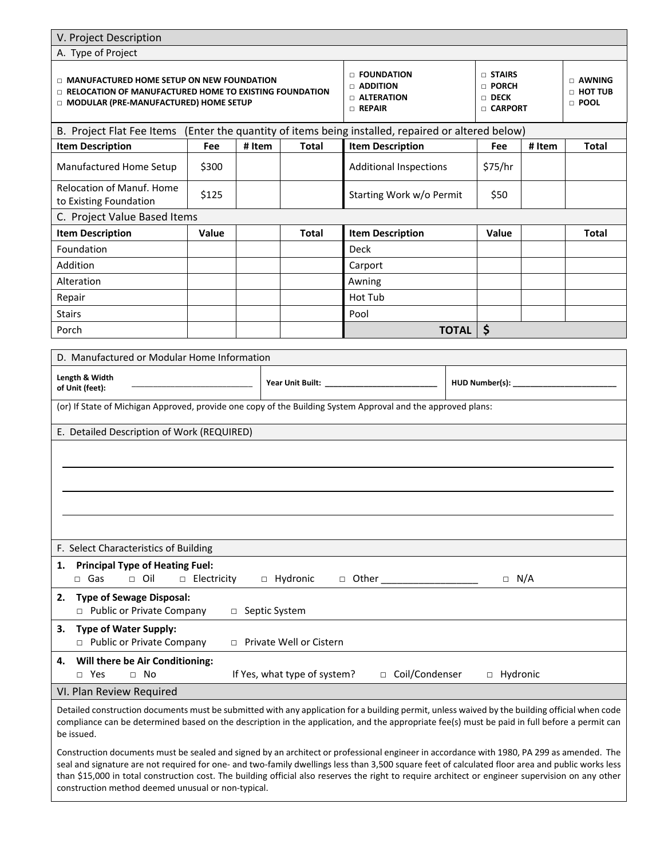### V. Project Description

| V. Project Description                                                                                                                                  |               |                                                                       |                              |                                                                          |  |                                                  |        |              |
|---------------------------------------------------------------------------------------------------------------------------------------------------------|---------------|-----------------------------------------------------------------------|------------------------------|--------------------------------------------------------------------------|--|--------------------------------------------------|--------|--------------|
| A. Type of Project                                                                                                                                      |               |                                                                       |                              |                                                                          |  |                                                  |        |              |
| □ MANUFACTURED HOME SETUP ON NEW FOUNDATION<br>$\Box$ RELOCATION OF MANUFACTURED HOME TO EXISTING FOUNDATION<br>□ MODULAR (PRE-MANUFACTURED) HOME SETUP |               | D FOUNDATION<br>$\Box$ ADDITION<br>$\Box$ alteration<br>$\Box$ Repair |                              | □ STAIRS<br>□ PORCH<br>$\Box$ Deck<br><b>CARPORT</b>                     |  | $\Box$ AWNING<br><b>D HOT TUB</b><br>$\Box$ pool |        |              |
| B. Project Flat Fee Items                                                                                                                               |               |                                                                       |                              | (Enter the quantity of items being installed, repaired or altered below) |  |                                                  |        |              |
| <b>Item Description</b>                                                                                                                                 | Fee           | # Item                                                                | <b>Total</b>                 | <b>Item Description</b>                                                  |  | Fee                                              | # Item | <b>Total</b> |
| Manufactured Home Setup                                                                                                                                 | \$300         |                                                                       |                              | <b>Additional Inspections</b>                                            |  | \$75/hr                                          |        |              |
| Relocation of Manuf. Home<br>to Existing Foundation                                                                                                     | \$125         |                                                                       |                              | Starting Work w/o Permit                                                 |  | \$50                                             |        |              |
| C. Project Value Based Items                                                                                                                            |               |                                                                       |                              |                                                                          |  |                                                  |        |              |
| <b>Item Description</b>                                                                                                                                 | Value         |                                                                       | <b>Total</b>                 | <b>Item Description</b>                                                  |  | Value                                            |        | <b>Total</b> |
| Foundation                                                                                                                                              |               |                                                                       |                              | <b>Deck</b>                                                              |  |                                                  |        |              |
| Addition                                                                                                                                                |               |                                                                       |                              | Carport                                                                  |  |                                                  |        |              |
| Alteration                                                                                                                                              |               |                                                                       |                              | Awning                                                                   |  |                                                  |        |              |
| Repair                                                                                                                                                  |               |                                                                       |                              | Hot Tub                                                                  |  |                                                  |        |              |
| <b>Stairs</b>                                                                                                                                           |               |                                                                       |                              | Pool                                                                     |  |                                                  |        |              |
|                                                                                                                                                         |               |                                                                       |                              |                                                                          |  | \$                                               |        |              |
| <b>TOTAL</b><br>Porch                                                                                                                                   |               |                                                                       |                              |                                                                          |  |                                                  |        |              |
| D. Manufactured or Modular Home Information                                                                                                             |               |                                                                       |                              |                                                                          |  |                                                  |        |              |
|                                                                                                                                                         |               |                                                                       |                              |                                                                          |  |                                                  |        |              |
| Length & Width<br>of Unit (feet):                                                                                                                       |               |                                                                       |                              |                                                                          |  | HUD Number(s): ______                            |        |              |
| (or) If State of Michigan Approved, provide one copy of the Building System Approval and the approved plans:                                            |               |                                                                       |                              |                                                                          |  |                                                  |        |              |
| E. Detailed Description of Work (REQUIRED)                                                                                                              |               |                                                                       |                              |                                                                          |  |                                                  |        |              |
|                                                                                                                                                         |               |                                                                       |                              |                                                                          |  |                                                  |        |              |
|                                                                                                                                                         |               |                                                                       |                              |                                                                          |  |                                                  |        |              |
|                                                                                                                                                         |               |                                                                       |                              |                                                                          |  |                                                  |        |              |
|                                                                                                                                                         |               |                                                                       |                              |                                                                          |  |                                                  |        |              |
|                                                                                                                                                         |               |                                                                       |                              |                                                                          |  |                                                  |        |              |
|                                                                                                                                                         |               |                                                                       |                              |                                                                          |  |                                                  |        |              |
|                                                                                                                                                         |               |                                                                       |                              |                                                                          |  |                                                  |        |              |
| F. Select Characteristics of Building                                                                                                                   |               |                                                                       |                              |                                                                          |  |                                                  |        |              |
| <b>Principal Type of Heating Fuel:</b><br>1.<br>$\Box$ Oil<br>$\Box$ Gas                                                                                | □ Electricity |                                                                       | □ Hydronic                   |                                                                          |  | $\Box$ N/A                                       |        |              |
| <b>Type of Sewage Disposal:</b><br>2.<br>□ Public or Private Company                                                                                    |               | Septic System<br>$\Box$                                               |                              |                                                                          |  |                                                  |        |              |
| <b>Type of Water Supply:</b><br>з.<br>□ Public or Private Company                                                                                       | $\Box$        |                                                                       | Private Well or Cistern      |                                                                          |  |                                                  |        |              |
| 4.                                                                                                                                                      |               |                                                                       |                              |                                                                          |  |                                                  |        |              |
| Will there be Air Conditioning:<br>$\Box$ No<br>$\Box$ Yes<br>VI. Plan Review Required                                                                  |               |                                                                       | If Yes, what type of system? | □ Coil/Condenser                                                         |  | □ Hydronic                                       |        |              |

Detailed construction documents must be submitted with any application for a building permit, unless waived by the building official when code compliance can be determined based on the description in the application, and the appropriate fee(s) must be paid in full before a permit can be issued.

Construction documents must be sealed and signed by an architect or professional engineer in accordance with 1980, PA 299 as amended. The seal and signature are not required for one- and two-family dwellings less than 3,500 square feet of calculated floor area and public works less than \$15,000 in total construction cost. The building official also reserves the right to require architect or engineer supervision on any other construction method deemed unusual or non-typical.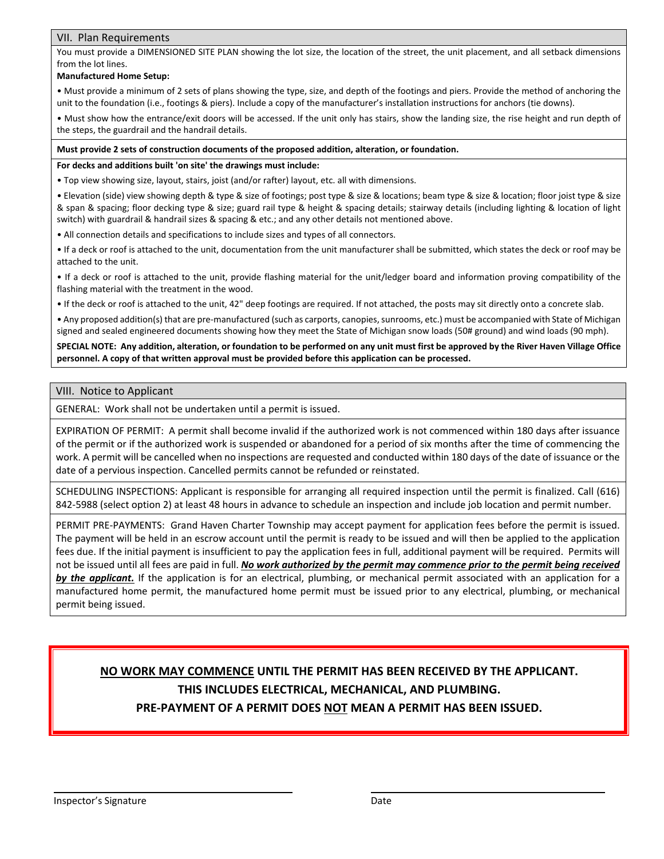## VII. Plan Requirements

You must provide a DIMENSIONED SITE PLAN showing the lot size, the location of the street, the unit placement, and all setback dimensions from the lot lines.

## **Manufactured Home Setup:**

• Must provide a minimum of 2 sets of plans showing the type, size, and depth of the footings and piers. Provide the method of anchoring the unit to the foundation (i.e., footings & piers). Include a copy of the manufacturer's installation instructions for anchors (tie downs).

• Must show how the entrance/exit doors will be accessed. If the unit only has stairs, show the landing size, the rise height and run depth of the steps, the guardrail and the handrail details.

#### **Must provide 2 sets of construction documents of the proposed addition, alteration, or foundation.**

#### **For decks and additions built 'on site' the drawings must include:**

• Top view showing size, layout, stairs, joist (and/or rafter) layout, etc. all with dimensions.

• Elevation (side) view showing depth & type & size of footings; post type & size & locations; beam type & size & location; floor joist type & size & span & spacing; floor decking type & size; guard rail type & height & spacing details; stairway details (including lighting & location of light switch) with guardrail & handrail sizes & spacing & etc.; and any other details not mentioned above.

• All connection details and specifications to include sizes and types of all connectors.

• If a deck or roof is attached to the unit, documentation from the unit manufacturer shall be submitted, which states the deck or roof may be attached to the unit.

• If a deck or roof is attached to the unit, provide flashing material for the unit/ledger board and information proving compatibility of the flashing material with the treatment in the wood.

• If the deck or roof is attached to the unit, 42" deep footings are required. If not attached, the posts may sit directly onto a concrete slab.

• Any proposed addition(s) that are pre-manufactured (such as carports, canopies, sunrooms, etc.) must be accompanied with State of Michigan signed and sealed engineered documents showing how they meet the State of Michigan snow loads (50# ground) and wind loads (90 mph).

**SPECIAL NOTE: Any addition, alteration, or foundation to be performed on any unit must first be approved by the River Haven Village Office personnel. A copy of that written approval must be provided before this application can be processed.**

#### VIII. Notice to Applicant

GENERAL: Work shall not be undertaken until a permit is issued.

EXPIRATION OF PERMIT: A permit shall become invalid if the authorized work is not commenced within 180 days after issuance of the permit or if the authorized work is suspended or abandoned for a period of six months after the time of commencing the work. A permit will be cancelled when no inspections are requested and conducted within 180 days of the date of issuance or the date of a pervious inspection. Cancelled permits cannot be refunded or reinstated.

SCHEDULING INSPECTIONS: Applicant is responsible for arranging all required inspection until the permit is finalized. Call (616) 842-5988 (select option 2) at least 48 hours in advance to schedule an inspection and include job location and permit number.

PERMIT PRE-PAYMENTS: Grand Haven Charter Township may accept payment for application fees before the permit is issued. The payment will be held in an escrow account until the permit is ready to be issued and will then be applied to the application fees due. If the initial payment is insufficient to pay the application fees in full, additional payment will be required. Permits will not be issued until all fees are paid in full. *No work authorized by the permit may commence prior to the permit being received by the applicant.* If the application is for an electrical, plumbing, or mechanical permit associated with an application for a manufactured home permit, the manufactured home permit must be issued prior to any electrical, plumbing, or mechanical permit being issued.

# **NO WORK MAY COMMENCE UNTIL THE PERMIT HAS BEEN RECEIVED BY THE APPLICANT. THIS INCLUDES ELECTRICAL, MECHANICAL, AND PLUMBING. PRE-PAYMENT OF A PERMIT DOES NOT MEAN A PERMIT HAS BEEN ISSUED.**